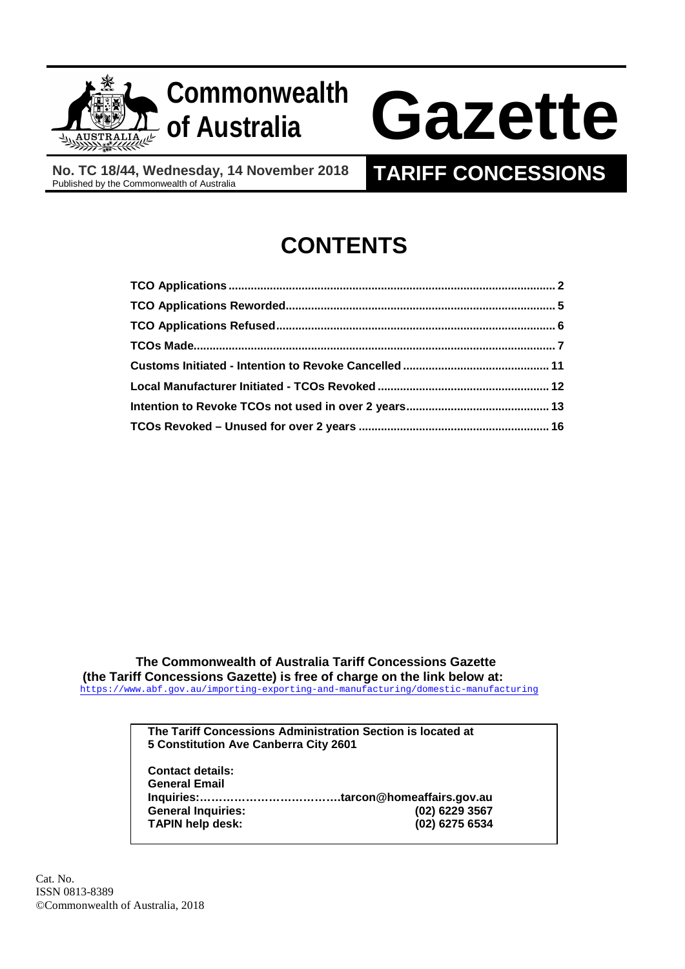

## **Commonwealth**

# **of Australia Gazette**

**No. TC 18/44, Wednesday, 14 November 2018**

### **TARIFF CONCESSIONS**

## **CONTENTS**

 **The Commonwealth of Australia Tariff Concessions Gazette (the Tariff Concessions Gazette) is free of charge on the link below at:**<https://www.abf.gov.au/importing-exporting-and-manufacturing/domestic-manufacturing>

> **The Tariff Concessions Administration Section is located at 5 Constitution Ave Canberra City 2601**

**Contact details: General Email Inquiries:……………………………….tarcon@homeaffairs.gov.au General Inquiries: (02) 6229 3567 TAPIN help desk:**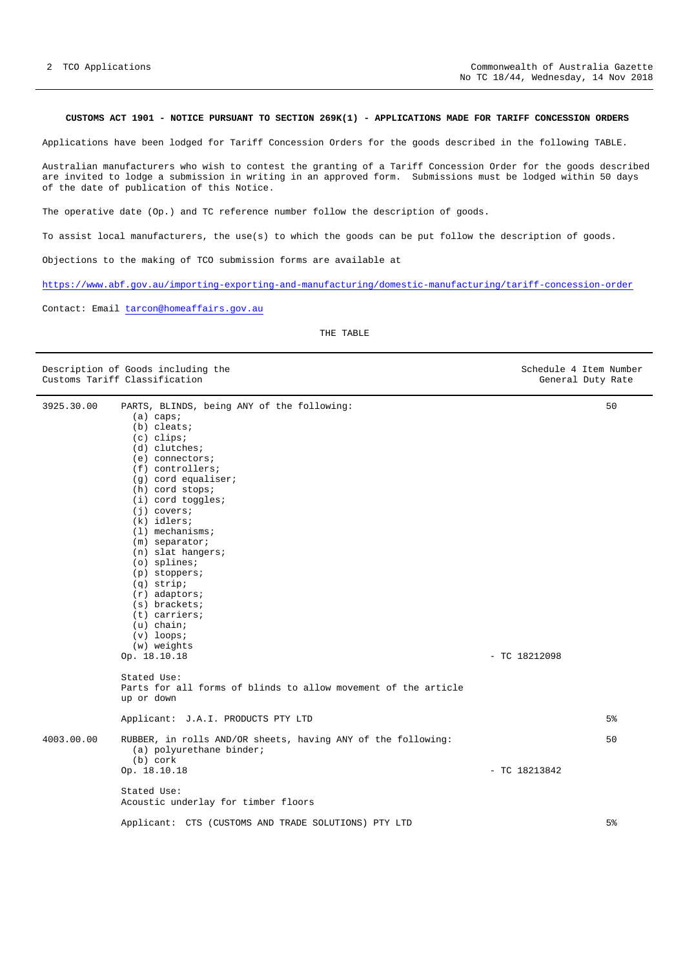#### <span id="page-1-0"></span>**CUSTOMS ACT 1901 - NOTICE PURSUANT TO SECTION 269K(1) - APPLICATIONS MADE FOR TARIFF CONCESSION ORDERS**

Applications have been lodged for Tariff Concession Orders for the goods described in the following TABLE.

Australian manufacturers who wish to contest the granting of a Tariff Concession Order for the goods described are invited to lodge a submission in writing in an approved form. Submissions must be lodged within 50 days of the date of publication of this Notice.

The operative date (Op.) and TC reference number follow the description of goods.

To assist local manufacturers, the use(s) to which the goods can be put follow the description of goods.

Objections to the making of TCO submission forms are available at

<https://www.abf.gov.au/importing-exporting-and-manufacturing/domestic-manufacturing/tariff-concession-order>

Contact: Email [tarcon@homeaffairs.gov.au](mailto:tarcon@homeaffairs.gov.au)

THE TABLE

|            | Description of Goods including the<br>Customs Tariff Classification                                                                                                                                                                                                                                                                                                                                                                                                                                                                                                                       |                 | Schedule 4 Item Number<br>General Duty Rate |
|------------|-------------------------------------------------------------------------------------------------------------------------------------------------------------------------------------------------------------------------------------------------------------------------------------------------------------------------------------------------------------------------------------------------------------------------------------------------------------------------------------------------------------------------------------------------------------------------------------------|-----------------|---------------------------------------------|
| 3925.30.00 | PARTS, BLINDS, being ANY of the following:<br>$(a)$ caps;<br>$(b)$ cleats;<br>$(c)$ clips;<br>$(d)$ clutches;<br>$(e)$ connectors;<br>$(f)$ controllers;<br>$(q)$ cord equaliser;<br>$(h)$ cord stops;<br>(i) cord toggles;<br>$(j)$ covers;<br>$(k)$ idlers;<br>$(1)$ mechanisms;<br>$(m)$ separator;<br>(n) slat hangers;<br>$(o)$ splines;<br>$(p)$ stoppers;<br>$(q)$ strip;<br>$(r)$ adaptors;<br>$(s)$ brackets;<br>$(t)$ carriers;<br>$(u)$ chain;<br>$(v)$ loops;<br>(w) weights<br>Op. 18.10.18<br>Stated Use:<br>Parts for all forms of blinds to allow movement of the article | $-$ TC 18212098 | 50                                          |
|            | up or down                                                                                                                                                                                                                                                                                                                                                                                                                                                                                                                                                                                |                 |                                             |
|            | Applicant: J.A.I. PRODUCTS PTY LTD                                                                                                                                                                                                                                                                                                                                                                                                                                                                                                                                                        |                 | 5 <sup>°</sup>                              |
| 4003.00.00 | RUBBER, in rolls AND/OR sheets, having ANY of the following:<br>(a) polyurethane binder;<br>(b) cork                                                                                                                                                                                                                                                                                                                                                                                                                                                                                      |                 | 50                                          |
|            | Op. 18.10.18                                                                                                                                                                                                                                                                                                                                                                                                                                                                                                                                                                              | $-$ TC 18213842 |                                             |
|            | Stated Use:<br>Acoustic underlay for timber floors                                                                                                                                                                                                                                                                                                                                                                                                                                                                                                                                        |                 |                                             |
|            | Applicant: CTS (CUSTOMS AND TRADE SOLUTIONS) PTY LTD                                                                                                                                                                                                                                                                                                                                                                                                                                                                                                                                      |                 | 5 <sup>8</sup>                              |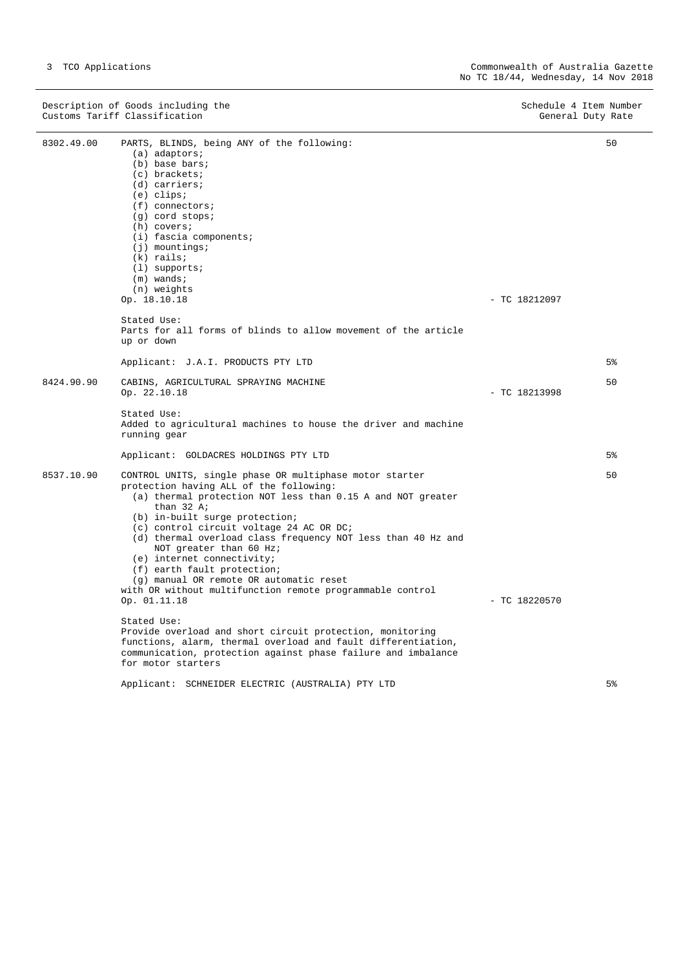Description of Goods including the Schedule 4 Item Number (Schedule 4 Item Number  $S$ chedule 4 Item Number (Schedule 4 Item Number (Schedule 4 Item Number (Schedule 4 Item Number (Schedule 4 Item Number (Schedule 4 Item Nu Customs Tariff Classification and the control of the control of the control of the General Duty Rate

| 8302.49.00 | PARTS, BLINDS, being ANY of the following:<br>$(a)$ adaptors;<br>(b) base bars;<br>$(c)$ brackets;<br>$(d)$ carriers;<br>$(e)$ clips;<br>$(f)$ connectors;<br>$(g)$ cord stops;<br>$(h)$ covers;<br>$(i)$ fascia components;<br>$(j)$ mountings;<br>$(k)$ rails;<br>$(1)$ supports;<br>$(m)$ wands;                                                                                                                                                                                                                             |                 | 50 |
|------------|---------------------------------------------------------------------------------------------------------------------------------------------------------------------------------------------------------------------------------------------------------------------------------------------------------------------------------------------------------------------------------------------------------------------------------------------------------------------------------------------------------------------------------|-----------------|----|
|            | (n) weights<br>Op. 18.10.18                                                                                                                                                                                                                                                                                                                                                                                                                                                                                                     | $-$ TC 18212097 |    |
|            | Stated Use:<br>Parts for all forms of blinds to allow movement of the article<br>up or down                                                                                                                                                                                                                                                                                                                                                                                                                                     |                 |    |
|            | Applicant: J.A.I. PRODUCTS PTY LTD                                                                                                                                                                                                                                                                                                                                                                                                                                                                                              |                 | 5% |
| 8424.90.90 | CABINS, AGRICULTURAL SPRAYING MACHINE<br>Op. 22.10.18                                                                                                                                                                                                                                                                                                                                                                                                                                                                           | $-$ TC 18213998 | 50 |
|            | Stated Use:<br>Added to agricultural machines to house the driver and machine<br>running gear                                                                                                                                                                                                                                                                                                                                                                                                                                   |                 |    |
|            | Applicant: GOLDACRES HOLDINGS PTY LTD                                                                                                                                                                                                                                                                                                                                                                                                                                                                                           |                 | 5% |
| 8537.10.90 | CONTROL UNITS, single phase OR multiphase motor starter<br>protection having ALL of the following:<br>(a) thermal protection NOT less than 0.15 A and NOT greater<br>than $32$ A;<br>(b) in-built surge protection;<br>(c) control circuit voltage 24 AC OR DC;<br>(d) thermal overload class frequency NOT less than 40 Hz and<br>NOT greater than 60 Hz;<br>(e) internet connectivity;<br>(f) earth fault protection;<br>(g) manual OR remote OR automatic reset<br>with OR without multifunction remote programmable control |                 | 50 |
|            | Op. 01.11.18<br>Stated Use:<br>Provide overload and short circuit protection, monitoring<br>functions, alarm, thermal overload and fault differentiation,<br>communication, protection against phase failure and imbalance<br>for motor starters                                                                                                                                                                                                                                                                                | $-$ TC 18220570 |    |
|            | Applicant: SCHNEIDER ELECTRIC (AUSTRALIA) PTY LTD                                                                                                                                                                                                                                                                                                                                                                                                                                                                               |                 | 5% |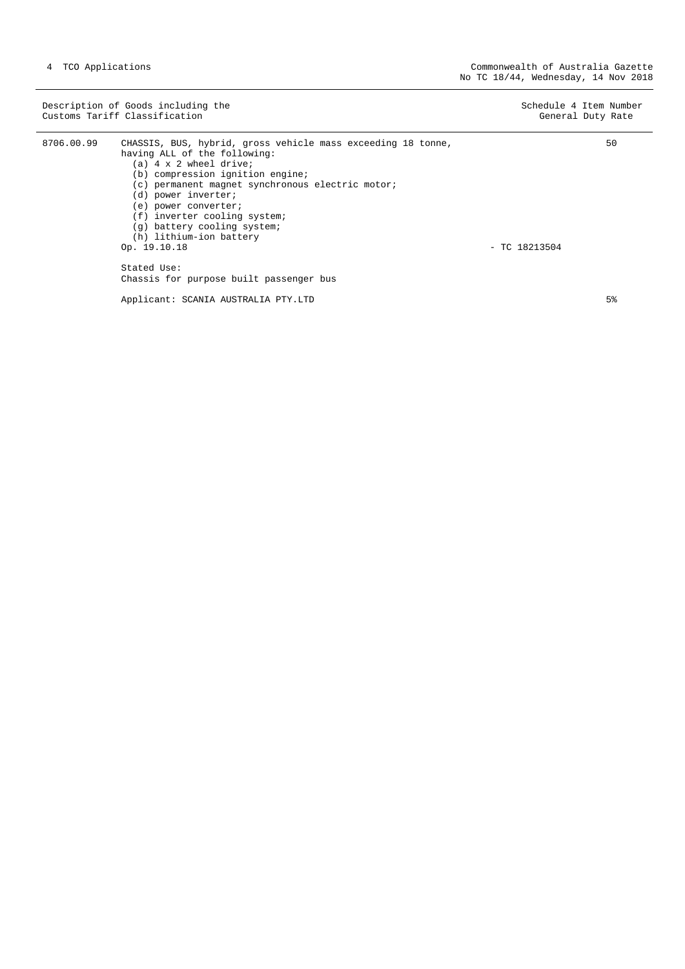|            | Description of Goods including the<br>Customs Tariff Classification                                                                                                                                                                                                                                                                                                                                                               | Schedule 4 Item Number<br>General Duty Rate |
|------------|-----------------------------------------------------------------------------------------------------------------------------------------------------------------------------------------------------------------------------------------------------------------------------------------------------------------------------------------------------------------------------------------------------------------------------------|---------------------------------------------|
| 8706.00.99 | CHASSIS, BUS, hybrid, gross vehicle mass exceeding 18 tonne,<br>having ALL of the following:<br>(a) 4 x 2 wheel drive;<br>(b) compression ignition engine;<br>(c) permanent magnet synchronous electric motor;<br>(d) power inverter;<br>(e) power converter;<br>(f) inverter cooling system;<br>(g) battery cooling system;<br>(h) lithium-ion battery<br>Op. 19.10.18<br>Stated Use:<br>Chassis for purpose built passenger bus | 50<br>$-$ TC 18213504                       |

Applicant: SCANIA AUSTRALIA PTY.LTD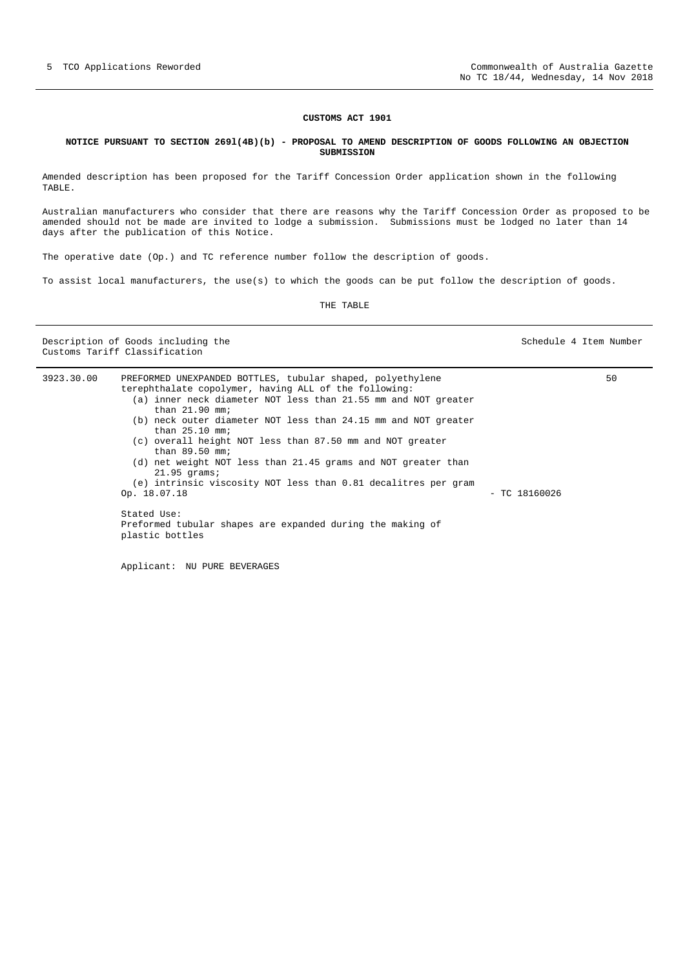#### <span id="page-4-0"></span>**NOTICE PURSUANT TO SECTION 269l(4B)(b) - PROPOSAL TO AMEND DESCRIPTION OF GOODS FOLLOWING AN OBJECTION SUBMISSION**

Amended description has been proposed for the Tariff Concession Order application shown in the following TABLE.

Australian manufacturers who consider that there are reasons why the Tariff Concession Order as proposed to be amended should not be made are invited to lodge a submission. Submissions must be lodged no later than 14 days after the publication of this Notice.

The operative date (Op.) and TC reference number follow the description of goods.

To assist local manufacturers, the use(s) to which the goods can be put follow the description of goods.

THE TABLE

Description of Goods including the Schedule 4 Item Number Schedule 4 Item Number Customs Tariff Classification

| 3923.30.00 | PREFORMED UNEXPANDED BOTTLES, tubular shaped, polyethylene<br>terephthalate copolymer, having ALL of the following: | 50 |
|------------|---------------------------------------------------------------------------------------------------------------------|----|
|            | (a) inner neck diameter NOT less than 21.55 mm and NOT greater<br>than $21.90$ mm;                                  |    |
|            | (b) neck outer diameter NOT less than 24.15 mm and NOT greater<br>than $25.10$ mm;                                  |    |
|            | (c) overall height NOT less than 87.50 mm and NOT greater<br>than $89.50$ mm;                                       |    |
|            | (d) net weight NOT less than 21.45 grams and NOT greater than<br>$21.95$ grams;                                     |    |
|            | (e) intrinsic viscosity NOT less than 0.81 decalitres per gram                                                      |    |
|            | Op. 18.07.18<br>$-$ TC 18160026                                                                                     |    |
|            | Stated Use:<br>Preformed tubular shapes are expanded during the making of<br>plastic bottles                        |    |
|            |                                                                                                                     |    |

Applicant: NU PURE BEVERAGES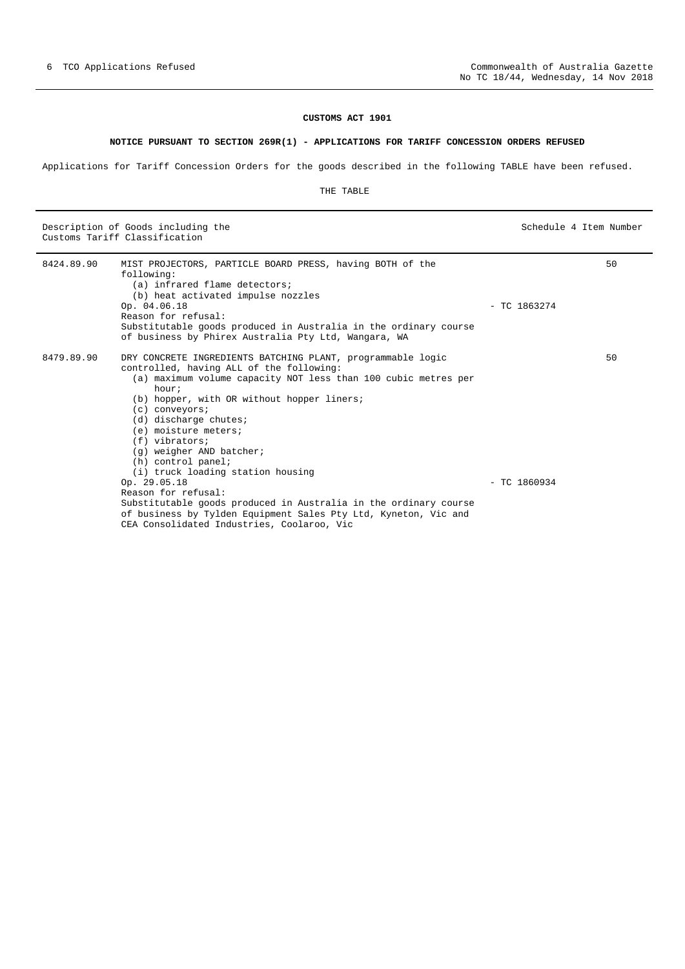#### **NOTICE PURSUANT TO SECTION 269R(1) - APPLICATIONS FOR TARIFF CONCESSION ORDERS REFUSED**

<span id="page-5-0"></span>Applications for Tariff Concession Orders for the goods described in the following TABLE have been refused.

#### THE TABLE

Description of Goods including the Schedule 4 Item Number (Schedule 4 Item Number  $S$ chedule 4 Item Number (Schedule 4 Item Number (Schedule 4 Item Number (Schedule 4 Item Number (Schedule 4 Item Number (Schedule 4 Item Nu Customs Tariff Classification

| 8424.89.90 | MIST PROJECTORS, PARTICLE BOARD PRESS, having BOTH of the<br>following:<br>(a) infrared flame detectors;<br>(b) heat activated impulse nozzles<br>Op. 04.06.18<br>Reason for refusal:<br>Substitutable goods produced in Australia in the ordinary course<br>of business by Phirex Australia Pty Ltd, Wangara, WA                                                                                                                  | $-$ TC 1863274 | 50 |
|------------|------------------------------------------------------------------------------------------------------------------------------------------------------------------------------------------------------------------------------------------------------------------------------------------------------------------------------------------------------------------------------------------------------------------------------------|----------------|----|
| 8479.89.90 | DRY CONCRETE INGREDIENTS BATCHING PLANT, programmable logic<br>controlled, having ALL of the following:<br>(a) maximum volume capacity NOT less than 100 cubic metres per<br>hour;<br>(b) hopper, with OR without hopper liners;<br>$(c)$ conveyors;<br>$(d)$ discharge chutes;<br>(e) moisture meters;<br>$(f)$ vibrators;<br>(q) weigher AND batcher;<br>(h) control panel;<br>(i) truck loading station housing<br>Op. 29.05.18 | $-$ TC 1860934 | 50 |
|            | Reason for refusal:<br>Substitutable goods produced in Australia in the ordinary course<br>of business by Tylden Equipment Sales Pty Ltd, Kyneton, Vic and<br>CEA Consolidated Industries, Coolaroo, Vic                                                                                                                                                                                                                           |                |    |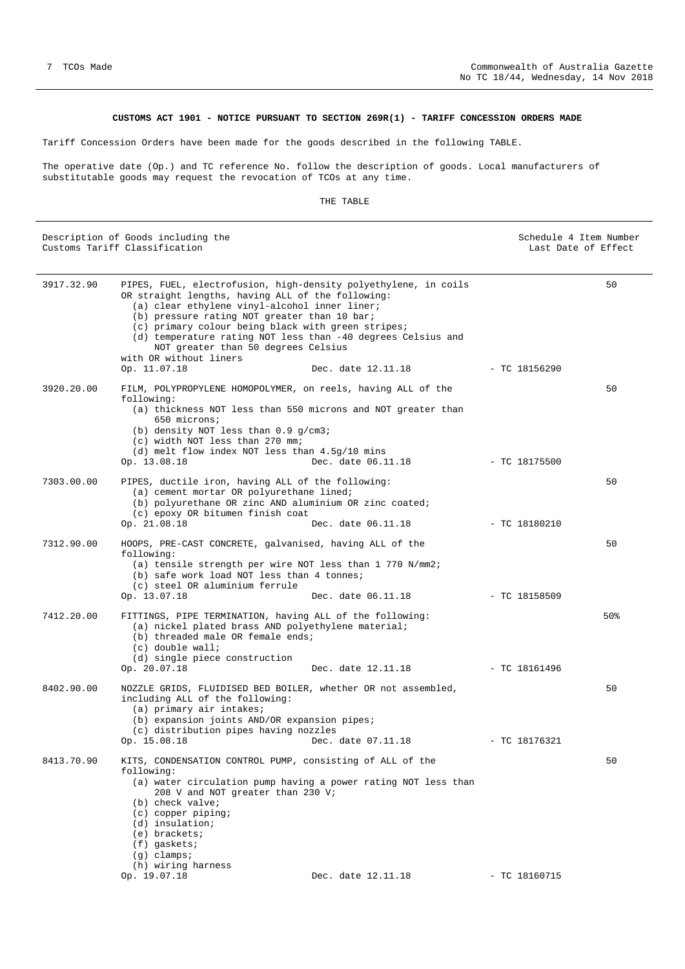#### **CUSTOMS ACT 1901 - NOTICE PURSUANT TO SECTION 269R(1) - TARIFF CONCESSION ORDERS MADE**

<span id="page-6-0"></span>Tariff Concession Orders have been made for the goods described in the following TABLE.

The operative date (Op.) and TC reference No. follow the description of goods. Local manufacturers of substitutable goods may request the revocation of TCOs at any time.

#### THE TABLE

| Description of Goods including the<br>Customs Tariff Classification |                                                                                                                                                                                                                                                                                                                                                                                                                              |                                       | Schedule 4 Item Number<br>Last Date of Effect |  |
|---------------------------------------------------------------------|------------------------------------------------------------------------------------------------------------------------------------------------------------------------------------------------------------------------------------------------------------------------------------------------------------------------------------------------------------------------------------------------------------------------------|---------------------------------------|-----------------------------------------------|--|
| 3917.32.90                                                          | PIPES, FUEL, electrofusion, high-density polyethylene, in coils<br>OR straight lengths, having ALL of the following:<br>(a) clear ethylene vinyl-alcohol inner liner;<br>(b) pressure rating NOT greater than 10 bar;<br>(c) primary colour being black with green stripes;<br>(d) temperature rating NOT less than -40 degrees Celsius and<br>NOT greater than 50 degrees Celsius<br>with OR without liners<br>Op. 11.07.18 | Dec. date 12.11.18<br>- TC 18156290   | 50                                            |  |
| 3920.20.00                                                          | FILM, POLYPROPYLENE HOMOPOLYMER, on reels, having ALL of the<br>following:<br>(a) thickness NOT less than 550 microns and NOT greater than<br>650 microns;<br>(b) density NOT less than $0.9$ g/cm3;<br>(c) width NOT less than 270 mm;<br>(d) melt flow index NOT less than $4.5q/10$ mins<br>Op. 13.08.18                                                                                                                  | Dec. date 06.11.18<br>$-$ TC 18175500 | 50                                            |  |
| 7303.00.00                                                          | PIPES, ductile iron, having ALL of the following:<br>(a) cement mortar OR polyurethane lined;<br>(b) polyurethane OR zinc AND aluminium OR zinc coated;<br>(c) epoxy OR bitumen finish coat<br>Op. 21.08.18                                                                                                                                                                                                                  | Dec. date 06.11.18<br>$-$ TC 18180210 | 50                                            |  |
| 7312.90.00                                                          | HOOPS, PRE-CAST CONCRETE, galvanised, having ALL of the<br>following:<br>(a) tensile strength per wire NOT less than 1 770 $N/mm2$ ;<br>(b) safe work load NOT less than 4 tonnes;<br>(c) steel OR aluminium ferrule<br>Op. 13.07.18                                                                                                                                                                                         | Dec. date 06.11.18<br>$-$ TC 18158509 | 50                                            |  |
| 7412.20.00                                                          | FITTINGS, PIPE TERMINATION, having ALL of the following:<br>(a) nickel plated brass AND polyethylene material;<br>(b) threaded male OR female ends;<br>$(c)$ double wall;<br>(d) single piece construction<br>Op. 20.07.18                                                                                                                                                                                                   | Dec. date 12.11.18<br>$-$ TC 18161496 | 50%                                           |  |
| 8402.90.00                                                          | NOZZLE GRIDS, FLUIDISED BED BOILER, whether OR not assembled,<br>including ALL of the following:<br>(a) primary air intakes;<br>(b) expansion joints AND/OR expansion pipes;<br>(c) distribution pipes having nozzles<br>Op. 15.08.18                                                                                                                                                                                        | Dec. date 07.11.18<br>$-$ TC 18176321 | 50                                            |  |
| 8413.70.90                                                          | KITS, CONDENSATION CONTROL PUMP, consisting of ALL of the<br>following:<br>(a) water circulation pump having a power rating NOT less than<br>208 V and NOT greater than 230 V;<br>(b) check valve;<br>$(c)$ copper piping;<br>(d) insulation;<br>$(e)$ brackets;<br>$(f)$ gaskets;<br>$(g)$ clamps;<br>(h) wiring harness<br>Op. 19.07.18                                                                                    | Dec. date 12.11.18<br>$-$ TC 18160715 | 50                                            |  |
|                                                                     |                                                                                                                                                                                                                                                                                                                                                                                                                              |                                       |                                               |  |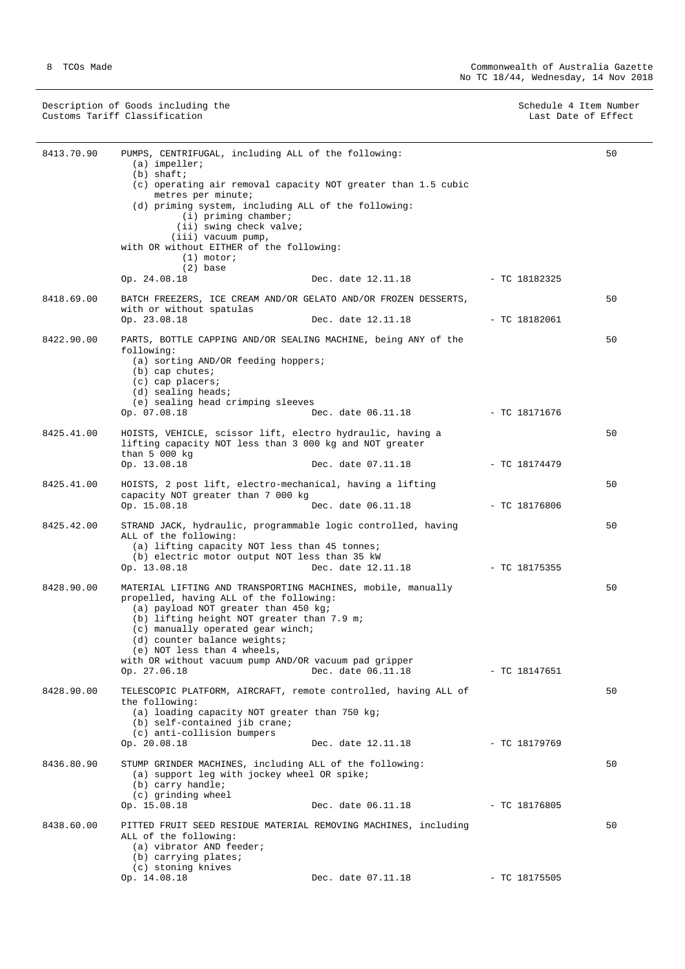Description of Goods including the Schedule 4 Item Number (Schedule 4 Item Number  $S$ chedule 4 Item Number (Schedule 4 Item Number (Schedule 4 Item Number (Schedule 4 Item Number (Schedule 4 Item Number (Schedule 4 Item Nu Customs Tariff Classification **Last Date of Effect** Customs Tariff Classification

| 8413.70.90 | PUMPS, CENTRIFUGAL, including ALL of the following:<br>$(a)$ impeller;<br>$(b)$ shaft;<br>(c) operating air removal capacity NOT greater than 1.5 cubic<br>metres per minute;<br>(d) priming system, including ALL of the following:<br>$(i)$ priming chamber;<br>(ii) swing check valve;<br>(iii) vacuum pump,<br>with OR without EITHER of the following:<br>$(1)$ motor;<br>$(2)$ base<br>Op. 24.08.18 | Dec. date 12.11.18 - TC 18182325 |                 | 50 |
|------------|-----------------------------------------------------------------------------------------------------------------------------------------------------------------------------------------------------------------------------------------------------------------------------------------------------------------------------------------------------------------------------------------------------------|----------------------------------|-----------------|----|
| 8418.69.00 | BATCH FREEZERS, ICE CREAM AND/OR GELATO AND/OR FROZEN DESSERTS,<br>with or without spatulas                                                                                                                                                                                                                                                                                                               |                                  |                 | 50 |
|            | Op. 23.08.18                                                                                                                                                                                                                                                                                                                                                                                              | Dec. date 12.11.18               | $-$ TC 18182061 |    |
| 8422.90.00 | PARTS, BOTTLE CAPPING AND/OR SEALING MACHINE, being ANY of the<br>following:<br>(a) sorting AND/OR feeding hoppers;<br>$(b)$ cap chutes;<br>$(c)$ cap placers;<br>$(d)$ sealing heads;<br>(e) sealing head crimping sleeves<br>Op. 07.08.18                                                                                                                                                               | Dec. date 06.11.18               | $-$ TC 18171676 | 50 |
|            |                                                                                                                                                                                                                                                                                                                                                                                                           |                                  |                 |    |
| 8425.41.00 | HOISTS, VEHICLE, scissor lift, electro hydraulic, having a<br>lifting capacity NOT less than 3 000 kg and NOT greater<br>than $5000 kg$                                                                                                                                                                                                                                                                   |                                  |                 | 50 |
|            | Op. 13.08.18                                                                                                                                                                                                                                                                                                                                                                                              | Dec. date 07.11.18               | $-$ TC 18174479 |    |
| 8425.41.00 | HOISTS, 2 post lift, electro-mechanical, having a lifting                                                                                                                                                                                                                                                                                                                                                 |                                  |                 | 50 |
|            | capacity NOT greater than 7 000 kg<br>Op. 15.08.18                                                                                                                                                                                                                                                                                                                                                        | Dec. date 06.11.18               | $-$ TC 18176806 |    |
| 8425.42.00 | STRAND JACK, hydraulic, programmable logic controlled, having<br>ALL of the following:<br>(a) lifting capacity NOT less than 45 tonnes;<br>(b) electric motor output NOT less than 35 kW<br>Op. 13.08.18                                                                                                                                                                                                  | Dec. date 12.11.18               | $-$ TC 18175355 | 50 |
| 8428.90.00 | MATERIAL LIFTING AND TRANSPORTING MACHINES, mobile, manually<br>propelled, having ALL of the following:<br>(a) payload NOT greater than 450 kg;<br>(b) lifting height NOT greater than 7.9 m;<br>(c) manually operated gear winch;<br>(d) counter balance weights;<br>(e) NOT less than 4 wheels,<br>with OR without vacuum pump AND/OR vacuum pad gripper<br>Op. 27.06.18                                | Dec. date 06.11.18               | $-$ TC 18147651 | 50 |
| 8428.90.00 | TELESCOPIC PLATFORM, AIRCRAFT, remote controlled, having ALL of<br>the following:<br>(a) loading capacity NOT greater than 750 kg;<br>(b) self-contained jib crane;<br>(c) anti-collision bumpers                                                                                                                                                                                                         | Dec. date 12.11.18               |                 | 50 |
|            | Op. 20.08.18                                                                                                                                                                                                                                                                                                                                                                                              |                                  | - TC 18179769   |    |
| 8436.80.90 | STUMP GRINDER MACHINES, including ALL of the following:<br>(a) support leg with jockey wheel OR spike;<br>$(b)$ carry handle;<br>(c) grinding wheel                                                                                                                                                                                                                                                       |                                  |                 | 50 |
|            | Op. 15.08.18                                                                                                                                                                                                                                                                                                                                                                                              | Dec. date 06.11.18               | $-$ TC 18176805 |    |
| 8438.60.00 | PITTED FRUIT SEED RESIDUE MATERIAL REMOVING MACHINES, including<br>ALL of the following:<br>(a) vibrator AND feeder;<br>(b) carrying plates;<br>(c) stoning knives                                                                                                                                                                                                                                        |                                  |                 | 50 |
|            | Op. 14.08.18                                                                                                                                                                                                                                                                                                                                                                                              | Dec. date 07.11.18               | $-$ TC 18175505 |    |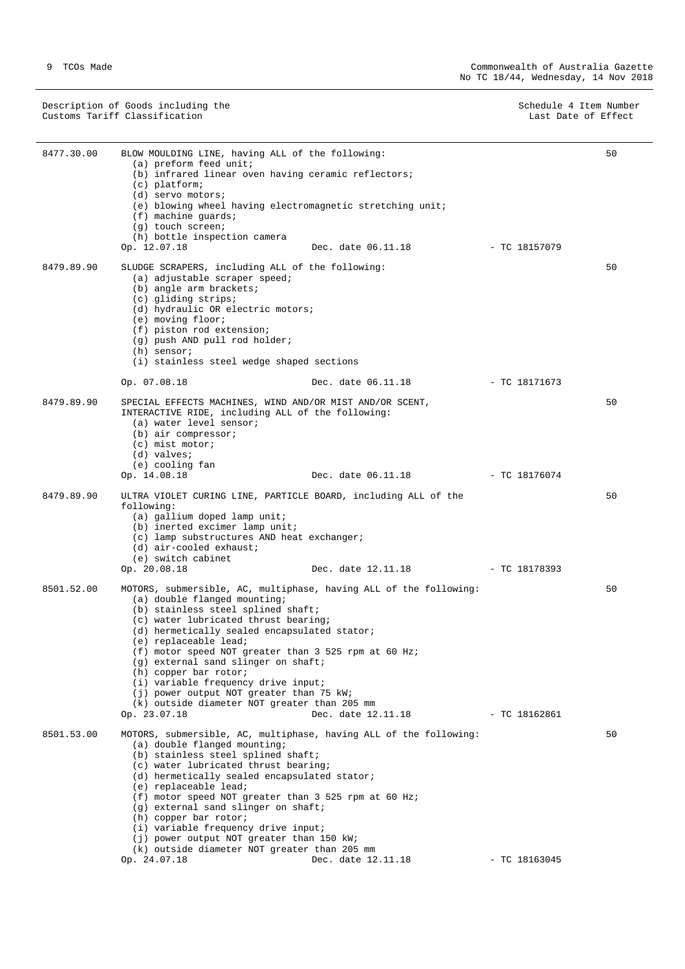Description of Goods including the Schedule 4 Item Number (Schedule 4 Item Number  $S$ chedule 4 Item Number (Schedule 4 Item Number (Schedule 4 Item Number (Schedule 4 Item Number (Schedule 4 Item Number (Schedule 4 Item Nu Customs Tariff Classification **Last Date of Effect** Customs Tariff Classification

| 8477.30.00 | BLOW MOULDING LINE, having ALL of the following:<br>(a) preform feed unit;                                                                                                                                                                                                                                                                              |                    |                 | 50 |
|------------|---------------------------------------------------------------------------------------------------------------------------------------------------------------------------------------------------------------------------------------------------------------------------------------------------------------------------------------------------------|--------------------|-----------------|----|
|            | (b) infrared linear oven having ceramic reflectors;<br>$(c)$ platform;                                                                                                                                                                                                                                                                                  |                    |                 |    |
|            | $(d)$ servo motors;<br>(e) blowing wheel having electromagnetic stretching unit;                                                                                                                                                                                                                                                                        |                    |                 |    |
|            | $(f)$ machine quards;<br>(g) touch screen;                                                                                                                                                                                                                                                                                                              |                    |                 |    |
|            | (h) bottle inspection camera                                                                                                                                                                                                                                                                                                                            |                    |                 |    |
|            | Op. 12.07.18                                                                                                                                                                                                                                                                                                                                            | Dec. date 06.11.18 | - TC 18157079   |    |
| 8479.89.90 | SLUDGE SCRAPERS, including ALL of the following:<br>(a) adjustable scraper speed;<br>(b) angle arm brackets;<br>(c) gliding strips;<br>(d) hydraulic OR electric motors;<br>(e) moving floor;                                                                                                                                                           |                    |                 | 50 |
|            | (f) piston rod extension;                                                                                                                                                                                                                                                                                                                               |                    |                 |    |
|            | (g) push AND pull rod holder;<br>$(h)$ sensor;                                                                                                                                                                                                                                                                                                          |                    |                 |    |
|            | (i) stainless steel wedge shaped sections                                                                                                                                                                                                                                                                                                               |                    |                 |    |
|            | Op. 07.08.18                                                                                                                                                                                                                                                                                                                                            | Dec. date 06.11.18 | - TC 18171673   |    |
| 8479.89.90 | SPECIAL EFFECTS MACHINES, WIND AND/OR MIST AND/OR SCENT,<br>INTERACTIVE RIDE, including ALL of the following:<br>(a) water level sensor;<br>$(b)$ air compressor;<br>$(c)$ mist motor;<br>(d) valves;                                                                                                                                                   |                    |                 | 50 |
|            | (e) cooling fan                                                                                                                                                                                                                                                                                                                                         |                    |                 |    |
|            | Op. 14.08.18                                                                                                                                                                                                                                                                                                                                            | Dec. date 06.11.18 | - TC 18176074   |    |
| 8479.89.90 | ULTRA VIOLET CURING LINE, PARTICLE BOARD, including ALL of the<br>following:<br>(a) gallium doped lamp unit;<br>(b) inerted excimer lamp unit;<br>(c) lamp substructures AND heat exchanger;<br>$(d)$ air-cooled exhaust;                                                                                                                               |                    |                 | 50 |
|            | (e) switch cabinet<br>Op. 20.08.18                                                                                                                                                                                                                                                                                                                      | Dec. date 12.11.18 | - TC 18178393   |    |
| 8501.52.00 | MOTORS, submersible, AC, multiphase, having ALL of the following:<br>(a) double flanged mounting;<br>(b) stainless steel splined shaft;<br>(c) water lubricated thrust bearing;<br>(d) hermetically sealed encapsulated stator;                                                                                                                         |                    |                 | 50 |
|            | (e) replaceable lead;<br>(f) motor speed NOT greater than 3 525 rpm at 60 Hz;<br>(g) external sand slinger on shaft;<br>(h) copper bar rotor;<br>(i) variable frequency drive input;<br>(j) power output NOT greater than 75 kW;                                                                                                                        |                    |                 |    |
|            | (k) outside diameter NOT greater than 205 mm                                                                                                                                                                                                                                                                                                            |                    |                 |    |
|            | Op. 23.07.18                                                                                                                                                                                                                                                                                                                                            | Dec. date 12.11.18 | $-$ TC 18162861 |    |
| 8501.53.00 | MOTORS, submersible, AC, multiphase, having ALL of the following:<br>(a) double flanged mounting;<br>(b) stainless steel splined shaft;<br>(c) water lubricated thrust bearing;<br>(d) hermetically sealed encapsulated stator;<br>(e) replaceable lead;<br>(f) motor speed NOT greater than 3 525 rpm at 60 Hz;<br>(g) external sand slinger on shaft; |                    |                 | 50 |
|            | (h) copper bar rotor;<br>(i) variable frequency drive input;                                                                                                                                                                                                                                                                                            |                    |                 |    |
|            | (j) power output NOT greater than 150 kW;                                                                                                                                                                                                                                                                                                               |                    |                 |    |
|            | (k) outside diameter NOT greater than 205 mm<br>Op. 24.07.18                                                                                                                                                                                                                                                                                            | Dec. date 12.11.18 | $-$ TC 18163045 |    |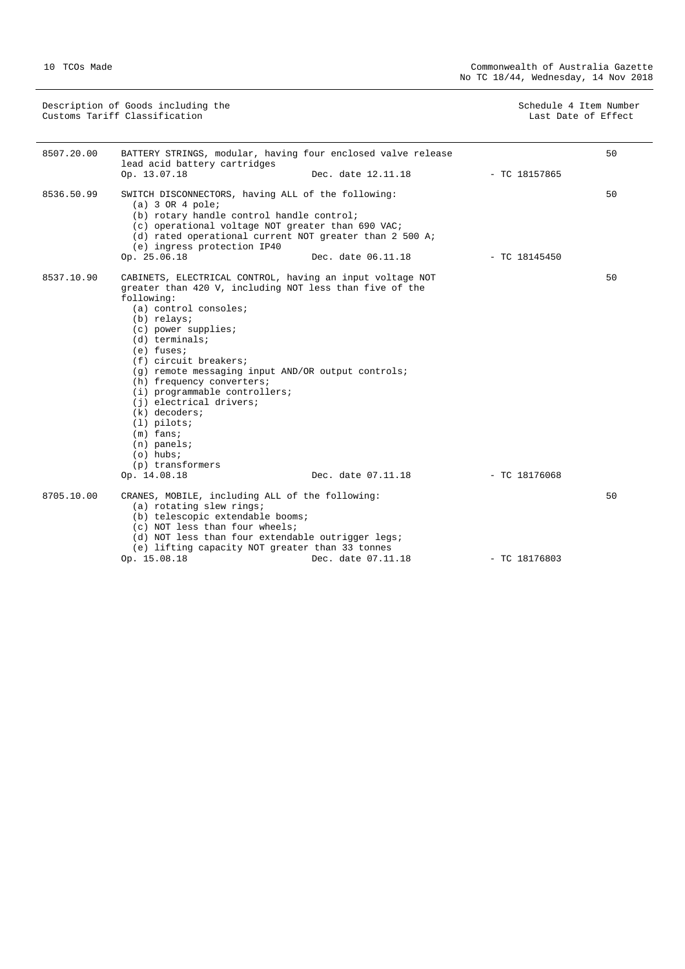Description of Goods including the Schedule 4 Item Number (Schedule 4 Item Number  $S$ chedule 4 Item Number (Schedule 4 Item Number (Schedule 4 Item Number (Schedule 4 Item Number (Schedule 4 Item Number (Schedule 4 Item Nu Customs Tariff Classification **Last Date of Effect** Customs Tariff Classification

| 8507.20.00 | BATTERY STRINGS, modular, having four enclosed valve release<br>lead acid battery cartridges                                                                                                                                                                                                                                                                                                                                                                                                                                           |                    |                 | 50 |
|------------|----------------------------------------------------------------------------------------------------------------------------------------------------------------------------------------------------------------------------------------------------------------------------------------------------------------------------------------------------------------------------------------------------------------------------------------------------------------------------------------------------------------------------------------|--------------------|-----------------|----|
|            | Op. 13.07.18                                                                                                                                                                                                                                                                                                                                                                                                                                                                                                                           | Dec. date 12.11.18 | $-$ TC 18157865 |    |
| 8536.50.99 | SWITCH DISCONNECTORS, having ALL of the following:<br>$(a)$ 3 OR 4 pole;<br>(b) rotary handle control handle control;<br>(c) operational voltage NOT greater than 690 VAC;<br>(d) rated operational current NOT greater than 2 500 A;<br>(e) ingress protection IP40<br>Op. 25.06.18                                                                                                                                                                                                                                                   | Dec. date 06.11.18 | $-$ TC 18145450 | 50 |
| 8537.10.90 | CABINETS, ELECTRICAL CONTROL, having an input voltage NOT<br>greater than 420 V, including NOT less than five of the<br>following:<br>(a) control consoles;<br>(b) relays;<br>$(c)$ power supplies;<br>$(d)$ terminals;<br>$(e)$ fuses;<br>(f) circuit breakers;<br>(g) remote messaging input AND/OR output controls;<br>(h) frequency converters;<br>(i) programmable controllers;<br>(i) electrical drivers;<br>$(k)$ decoders;<br>$(1)$ pilots;<br>$(m)$ fans;<br>$(n)$ panels;<br>$(o)$ hubs;<br>(p) transformers<br>Op. 14.08.18 | Dec. date 07.11.18 | $-$ TC 18176068 | 50 |
| 8705.10.00 | CRANES, MOBILE, including ALL of the following:<br>(a) rotating slew rings;<br>(b) telescopic extendable booms;<br>(c) NOT less than four wheels;<br>(d) NOT less than four extendable outrigger legs;<br>(e) lifting capacity NOT greater than 33 tonnes<br>Op. 15.08.18                                                                                                                                                                                                                                                              | Dec. date 07.11.18 | $-$ TC 18176803 | 50 |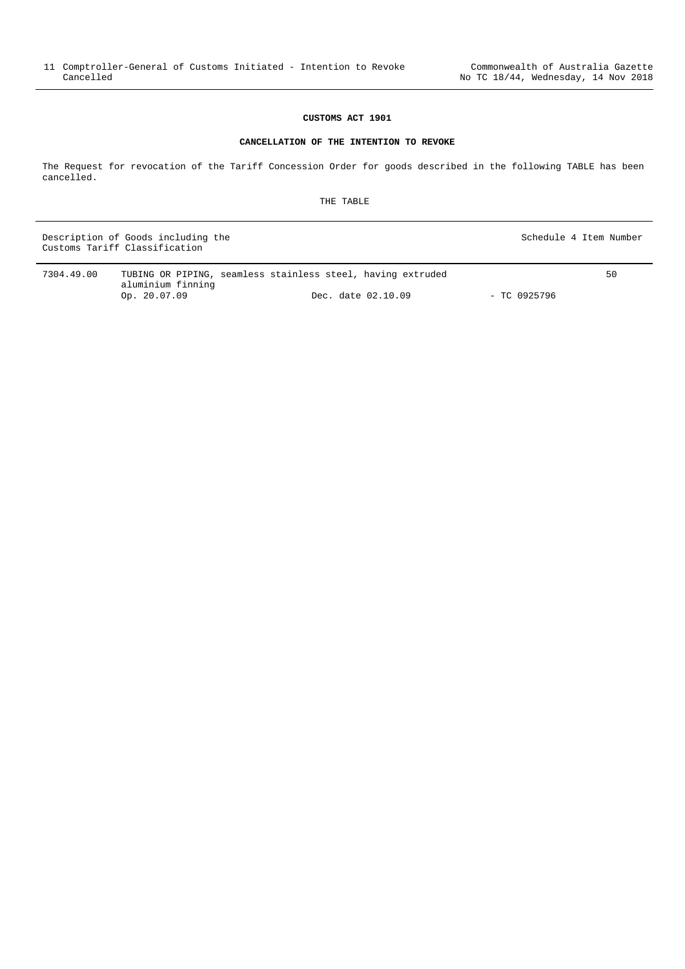#### **CANCELLATION OF THE INTENTION TO REVOKE**

<span id="page-10-0"></span>The Request for revocation of the Tariff Concession Order for goods described in the following TABLE has been cancelled.

THE TABLE

Description of Goods including the Schedule 4 Item Number (Schedule 4 Item Number  $S$ chedule 4 Item Number (Schedule 4 Item Number (Schedule 4 Item Number (Schedule 4 Item Number (Schedule 4 Item Number (Schedule 4 Item Nu Customs Tariff Classification

| 7304.49.00 |                   | TUBING OR PIPING, seamless stainless steel, having extruded | 50 |
|------------|-------------------|-------------------------------------------------------------|----|
|            | aluminium finning |                                                             |    |
|            | Op. $20.07.09$    | - TC 0925796<br>Dec. date 02.10.09                          |    |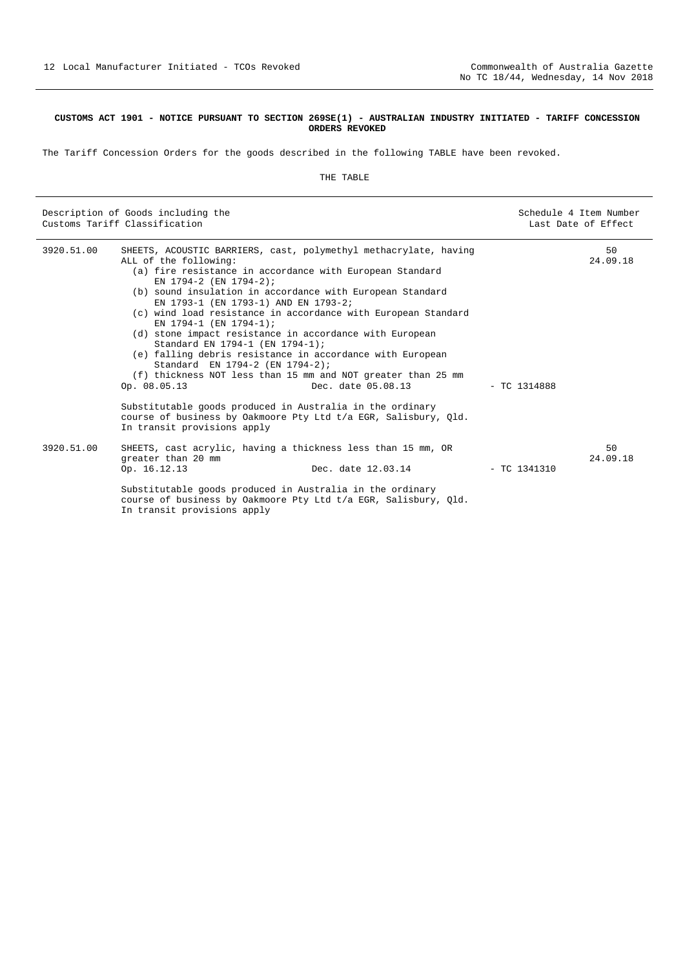#### <span id="page-11-0"></span>**CUSTOMS ACT 1901 - NOTICE PURSUANT TO SECTION 269SE(1) - AUSTRALIAN INDUSTRY INITIATED - TARIFF CONCESSION ORDERS REVOKED**

The Tariff Concession Orders for the goods described in the following TABLE have been revoked.

#### THE TABLE

|            | Description of Goods including the<br>Customs Tariff Classification                                                                                                                                                                                                                                                                                                                                                                                                                                                                                                                                                                                                                 | Schedule 4 Item Number<br>Last Date of Effect |
|------------|-------------------------------------------------------------------------------------------------------------------------------------------------------------------------------------------------------------------------------------------------------------------------------------------------------------------------------------------------------------------------------------------------------------------------------------------------------------------------------------------------------------------------------------------------------------------------------------------------------------------------------------------------------------------------------------|-----------------------------------------------|
| 3920.51.00 | SHEETS, ACOUSTIC BARRIERS, cast, polymethyl methacrylate, having<br>ALL of the following:<br>(a) fire resistance in accordance with European Standard<br>EN 1794-2 (EN 1794-2);<br>(b) sound insulation in accordance with European Standard<br>EN 1793-1 (EN 1793-1) AND EN 1793-2;<br>(c) wind load resistance in accordance with European Standard<br>EN 1794-1 (EN 1794-1);<br>(d) stone impact resistance in accordance with European<br>Standard EN 1794-1 (EN 1794-1);<br>(e) falling debris resistance in accordance with European<br>Standard EN 1794-2 (EN 1794-2);<br>(f) thickness NOT less than 15 mm and NOT greater than 25 mm<br>Dec. date 05.08.13<br>Op. 08.05.13 | 50<br>24.09.18<br>$-$ TC 1314888              |
|            | Substitutable goods produced in Australia in the ordinary<br>course of business by Oakmoore Pty Ltd t/a EGR, Salisbury, Qld.<br>In transit provisions apply                                                                                                                                                                                                                                                                                                                                                                                                                                                                                                                         |                                               |
| 3920.51.00 | SHEETS, cast acrylic, having a thickness less than 15 mm, OR<br>greater than 20 mm<br>Op. 16.12.13<br>Dec. date 12.03.14<br>Substitutable goods produced in Australia in the ordinary<br>course of business by Oakmoore Pty Ltd t/a EGR, Salisbury, Qld.<br>In transit provisions apply                                                                                                                                                                                                                                                                                                                                                                                             | 50<br>24.09.18<br>$-$ TC 1341310              |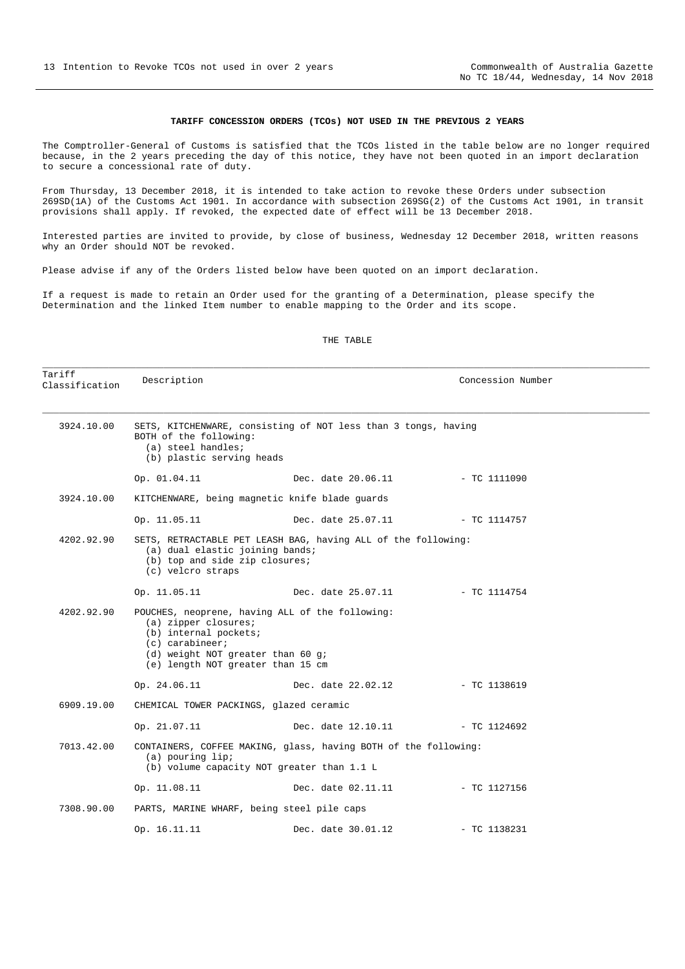#### **TARIFF CONCESSION ORDERS (TCOs) NOT USED IN THE PREVIOUS 2 YEARS**

<span id="page-12-0"></span>The Comptroller-General of Customs is satisfied that the TCOs listed in the table below are no longer required because, in the 2 years preceding the day of this notice, they have not been quoted in an import declaration to secure a concessional rate of duty.

From Thursday, 13 December 2018, it is intended to take action to revoke these Orders under subsection 269SD(1A) of the Customs Act 1901. In accordance with subsection 269SG(2) of the Customs Act 1901, in transit provisions shall apply. If revoked, the expected date of effect will be 13 December 2018.

Interested parties are invited to provide, by close of business, Wednesday 12 December 2018, written reasons why an Order should NOT be revoked.

Please advise if any of the Orders listed below have been quoted on an import declaration.

If a request is made to retain an Order used for the granting of a Determination, please specify the Determination and the linked Item number to enable mapping to the Order and its scope.

#### THE TABLE

\_\_\_\_\_\_\_\_\_\_\_\_\_\_\_\_\_\_\_\_\_\_\_\_\_\_\_\_\_\_\_\_\_\_\_\_\_\_\_\_\_\_\_\_\_\_\_\_\_\_\_\_\_\_\_\_\_\_\_\_\_\_\_\_\_\_\_\_\_\_\_\_\_\_\_\_\_\_\_\_\_\_\_\_\_\_\_\_\_\_\_\_\_\_\_\_\_\_\_\_\_\_\_\_\_\_\_\_\_\_

| Tariff<br>Classification | Description                                                                                                                                                                                       |                    | Concession Number |  |  |
|--------------------------|---------------------------------------------------------------------------------------------------------------------------------------------------------------------------------------------------|--------------------|-------------------|--|--|
| 3924.10.00               | SETS, KITCHENWARE, consisting of NOT less than 3 tongs, having<br>BOTH of the following:<br>(a) steel handles;<br>(b) plastic serving heads                                                       |                    |                   |  |  |
|                          | Op. 01.04.11                                                                                                                                                                                      | Dec. date 20.06.11 | $-$ TC 1111090    |  |  |
| 3924.10.00               | KITCHENWARE, being magnetic knife blade guards                                                                                                                                                    |                    |                   |  |  |
|                          | Op. 11.05.11                                                                                                                                                                                      | Dec. date 25.07.11 | - TC 1114757      |  |  |
| 4202.92.90               | SETS, RETRACTABLE PET LEASH BAG, having ALL of the following:<br>(a) dual elastic joining bands;<br>(b) top and side zip closures;<br>(c) velcro straps                                           |                    |                   |  |  |
|                          | Op. 11.05.11                                                                                                                                                                                      | Dec. date 25.07.11 | - TC 1114754      |  |  |
| 4202.92.90               | POUCHES, neoprene, having ALL of the following:<br>$(a)$ zipper closures;<br>(b) internal pockets;<br>$(c)$ carabineer;<br>(d) weight NOT greater than 60 g;<br>(e) length NOT greater than 15 cm |                    |                   |  |  |
|                          | Op. 24.06.11                                                                                                                                                                                      | Dec. date 22.02.12 | $-$ TC 1138619    |  |  |
| 6909.19.00               | CHEMICAL TOWER PACKINGS, glazed ceramic                                                                                                                                                           |                    |                   |  |  |
|                          | Op. 21.07.11                                                                                                                                                                                      | Dec. date 12.10.11 | $-$ TC 1124692    |  |  |
| 7013.42.00               | CONTAINERS, COFFEE MAKING, glass, having BOTH of the following:<br>(a) pouring lip;<br>(b) volume capacity NOT greater than 1.1 L                                                                 |                    |                   |  |  |
|                          | Op. 11.08.11                                                                                                                                                                                      | Dec. date 02.11.11 | - TC 1127156      |  |  |
| 7308.90.00               | PARTS, MARINE WHARF, being steel pile caps                                                                                                                                                        |                    |                   |  |  |
|                          | Op. 16.11.11                                                                                                                                                                                      | Dec. date 30.01.12 | $-$ TC 1138231    |  |  |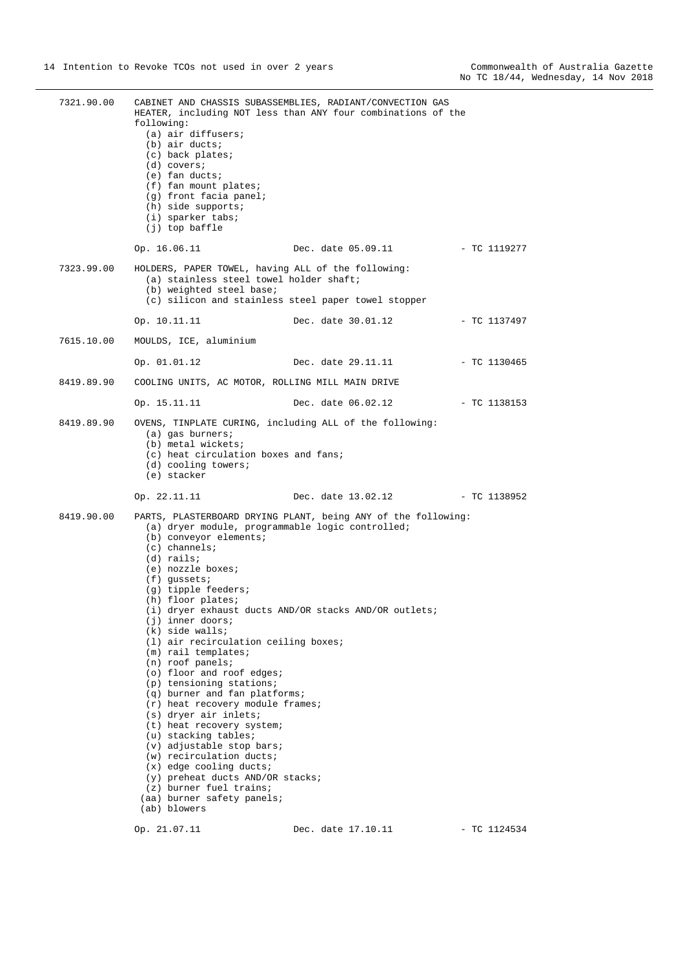| 7321.90.00 | following:<br>(a) air diffusers;<br>(b) air ducts;<br>(c) back plates;<br>$(d)$ covers;<br>$(e)$ fan ducts;<br>(f) fan mount plates;<br>(g) front facia panel;<br>$(h)$ side supports;<br>(i) sparker tabs;<br>(j) top baffle                                                                                                                                                                                                                                                                                                                                                                                                                                                                                                                         | CABINET AND CHASSIS SUBASSEMBLIES, RADIANT/CONVECTION GAS<br>HEATER, including NOT less than ANY four combinations of the |                |
|------------|-------------------------------------------------------------------------------------------------------------------------------------------------------------------------------------------------------------------------------------------------------------------------------------------------------------------------------------------------------------------------------------------------------------------------------------------------------------------------------------------------------------------------------------------------------------------------------------------------------------------------------------------------------------------------------------------------------------------------------------------------------|---------------------------------------------------------------------------------------------------------------------------|----------------|
|            | Op. 16.06.11                                                                                                                                                                                                                                                                                                                                                                                                                                                                                                                                                                                                                                                                                                                                          | Dec. date 05.09.11 - TC 1119277                                                                                           |                |
| 7323.99.00 | HOLDERS, PAPER TOWEL, having ALL of the following:<br>(a) stainless steel towel holder shaft;<br>(b) weighted steel base;                                                                                                                                                                                                                                                                                                                                                                                                                                                                                                                                                                                                                             | (c) silicon and stainless steel paper towel stopper                                                                       |                |
|            | Op. 10.11.11                                                                                                                                                                                                                                                                                                                                                                                                                                                                                                                                                                                                                                                                                                                                          | Dec. date 30.01.12 - TC 1137497                                                                                           |                |
| 7615.10.00 | MOULDS, ICE, aluminium                                                                                                                                                                                                                                                                                                                                                                                                                                                                                                                                                                                                                                                                                                                                |                                                                                                                           |                |
|            | Op. 01.01.12                                                                                                                                                                                                                                                                                                                                                                                                                                                                                                                                                                                                                                                                                                                                          | Dec. date 29.11.11                                                                                                        | - TC 1130465   |
| 8419.89.90 | COOLING UNITS, AC MOTOR, ROLLING MILL MAIN DRIVE                                                                                                                                                                                                                                                                                                                                                                                                                                                                                                                                                                                                                                                                                                      |                                                                                                                           |                |
|            | Op. 15.11.11                                                                                                                                                                                                                                                                                                                                                                                                                                                                                                                                                                                                                                                                                                                                          | Dec. date 06.02.12                                                                                                        | - TC 1138153   |
| 8419.89.90 | $(a)$ gas burners;<br>(b) metal wickets;<br>(c) heat circulation boxes and fans;<br>(d) cooling towers;<br>(e) stacker                                                                                                                                                                                                                                                                                                                                                                                                                                                                                                                                                                                                                                | OVENS, TINPLATE CURING, including ALL of the following:                                                                   |                |
|            | Op. 22.11.11                                                                                                                                                                                                                                                                                                                                                                                                                                                                                                                                                                                                                                                                                                                                          | Dec. date 13.02.12 - TC 1138952                                                                                           |                |
| 8419.90.00 | (a) dryer module, programmable logic controlled;<br>(b) conveyor elements;<br>$(c)$ channels;<br>$(d)$ rails;<br>(e) nozzle boxes;<br>$(f)$ qussets;<br>(g) tipple feeders;<br>(h) floor plates;<br>$(j)$ inner doors;<br>$(k)$ side walls;<br>$(1)$ air recirculation ceiling boxes;<br>$(m)$ rail templates;<br>$(n)$ roof panels;<br>(o) floor and roof edges;<br>(p) tensioning stations;<br>(q) burner and fan platforms;<br>$(r)$ heat recovery module frames;<br>(s) dryer air inlets;<br>(t) heat recovery system;<br>(u) stacking tables;<br>(v) adjustable stop bars;<br>(w) recirculation ducts;<br>$(x)$ edge cooling ducts;<br>(y) preheat ducts AND/OR stacks;<br>(z) burner fuel trains;<br>(aa) burner safety panels;<br>(ab) blowers | PARTS, PLASTERBOARD DRYING PLANT, being ANY of the following:<br>(i) dryer exhaust ducts AND/OR stacks AND/OR outlets;    |                |
|            | Op. 21.07.11                                                                                                                                                                                                                                                                                                                                                                                                                                                                                                                                                                                                                                                                                                                                          | Dec. date 17.10.11                                                                                                        | $-$ TC 1124534 |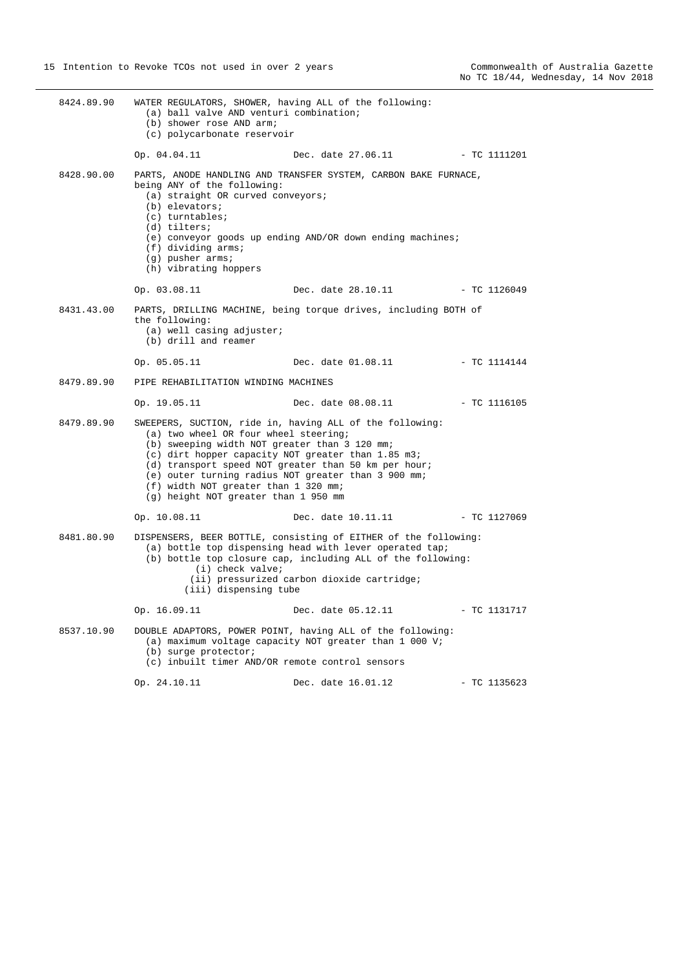8424.89.90 WATER REGULATORS, SHOWER, having ALL of the following: (a) ball valve AND venturi combination; (b) shower rose AND arm; (c) polycarbonate reservoir Op. 04.04.11 Dec. date 27.06.11 - TC 1111201 8428.90.00 PARTS, ANODE HANDLING AND TRANSFER SYSTEM, CARBON BAKE FURNACE, being ANY of the following: (a) straight OR curved conveyors; (b) elevators; (c) turntables; (d) tilters; (e) conveyor goods up ending AND/OR down ending machines; (f) dividing arms; (g) pusher arms; (h) vibrating hoppers Op. 03.08.11 Dec. date 28.10.11 - TC 1126049 8431.43.00 PARTS, DRILLING MACHINE, being torque drives, including BOTH of the following: (a) well casing adjuster; (b) drill and reamer Op. 05.05.11 Dec. date 01.08.11 - TC 1114144 8479.89.90 PIPE REHABILITATION WINDING MACHINES Op. 19.05.11 Dec. date 08.08.11 - TC 1116105 8479.89.90 SWEEPERS, SUCTION, ride in, having ALL of the following: (a) two wheel OR four wheel steering; (b) sweeping width NOT greater than 3 120 mm; (c) dirt hopper capacity NOT greater than 1.85 m3; (d) transport speed NOT greater than 50 km per hour; (e) outer turning radius NOT greater than 3 900 mm; (f) width NOT greater than 1 320 mm; (g) height NOT greater than 1 950 mm Op. 10.08.11 Dec. date 10.11.11 - TC 1127069 8481.80.90 DISPENSERS, BEER BOTTLE, consisting of EITHER of the following: (a) bottle top dispensing head with lever operated tap; (b) bottle top closure cap, including ALL of the following: (i) check valve; (ii) pressurized carbon dioxide cartridge; (iii) dispensing tube Op. 16.09.11 Dec. date 05.12.11 - TC 1131717 8537.10.90 DOUBLE ADAPTORS, POWER POINT, having ALL of the following: (a) maximum voltage capacity NOT greater than 1 000 V; (b) surge protector; (c) inbuilt timer AND/OR remote control sensors Op. 24.10.11 Dec. date 16.01.12 - TC 1135623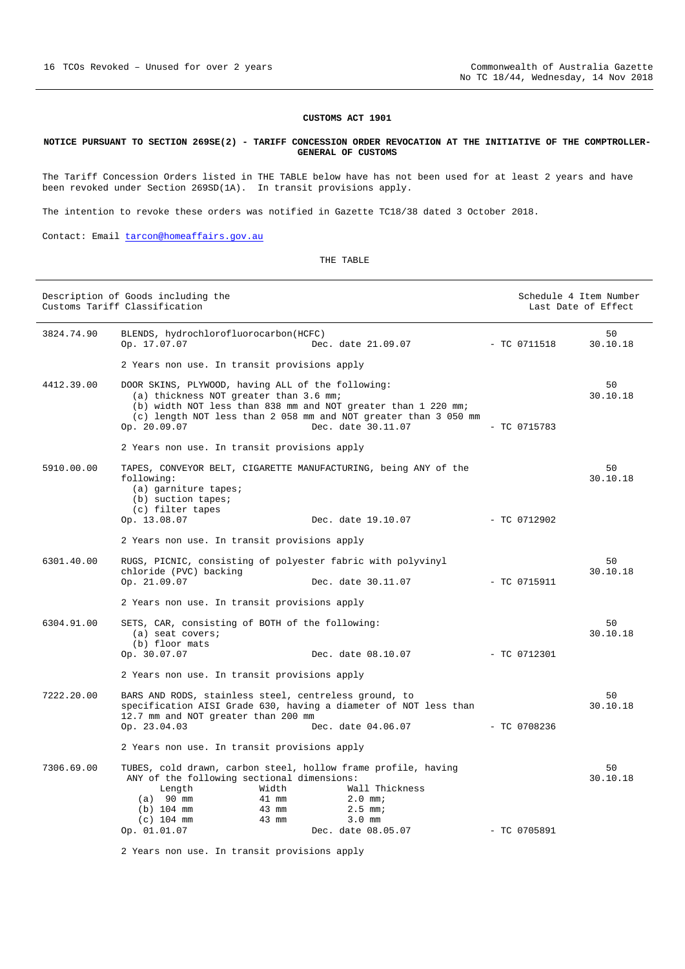#### <span id="page-15-0"></span>**NOTICE PURSUANT TO SECTION 269SE(2) - TARIFF CONCESSION ORDER REVOCATION AT THE INITIATIVE OF THE COMPTROLLER-GENERAL OF CUSTOMS**

The Tariff Concession Orders listed in THE TABLE below have has not been used for at least 2 years and have been revoked under Section 269SD(1A). In transit provisions apply.

The intention to revoke these orders was notified in Gazette TC18/38 dated 3 October 2018.

Contact: Email [tarcon@homeaffairs.gov.au](mailto:tarcon@homeaffairs.gov.au)

#### THE TABLE

|            | Description of Goods including the<br>Customs Tariff Classification                                                                                                                                                      |                                                                                                                                                        | Schedule 4 Item Number<br>Last Date of Effect |                |
|------------|--------------------------------------------------------------------------------------------------------------------------------------------------------------------------------------------------------------------------|--------------------------------------------------------------------------------------------------------------------------------------------------------|-----------------------------------------------|----------------|
| 3824.74.90 | BLENDS, hydrochlorofluorocarbon(HCFC)<br>Op. 17.07.07                                                                                                                                                                    | Dec. date 21.09.07                                                                                                                                     | $-$ TC 0711518                                | 50<br>30.10.18 |
|            | 2 Years non use. In transit provisions apply                                                                                                                                                                             |                                                                                                                                                        |                                               |                |
| 4412.39.00 | DOOR SKINS, PLYWOOD, having ALL of the following:<br>(a) thickness NOT greater than 3.6 mm;<br>Op. 20.09.07                                                                                                              | (b) width NOT less than 838 mm and NOT greater than 1 220 mm;<br>(c) length NOT less than 2 058 mm and NOT greater than 3 050 mm<br>Dec. date 30.11.07 | $-$ TC 0715783                                | 50<br>30.10.18 |
|            | 2 Years non use. In transit provisions apply                                                                                                                                                                             |                                                                                                                                                        |                                               |                |
| 5910.00.00 | TAPES, CONVEYOR BELT, CIGARETTE MANUFACTURING, being ANY of the<br>following:<br>(a) garniture tapes;<br>(b) suction tapes;<br>(c) filter tapes                                                                          |                                                                                                                                                        |                                               | 50<br>30.10.18 |
|            | Op. 13.08.07                                                                                                                                                                                                             | Dec. date 19.10.07                                                                                                                                     | $-$ TC 0712902                                |                |
|            | 2 Years non use. In transit provisions apply                                                                                                                                                                             |                                                                                                                                                        |                                               |                |
| 6301.40.00 | RUGS, PICNIC, consisting of polyester fabric with polyvinyl<br>chloride (PVC) backing<br>Op. 21.09.07                                                                                                                    | Dec. date 30.11.07                                                                                                                                     | $-$ TC 0715911                                | 50<br>30.10.18 |
|            | 2 Years non use. In transit provisions apply                                                                                                                                                                             |                                                                                                                                                        |                                               |                |
| 6304.91.00 | SETS, CAR, consisting of BOTH of the following:<br>$(a)$ seat covers;<br>(b) floor mats                                                                                                                                  |                                                                                                                                                        |                                               | 50<br>30.10.18 |
|            | Op. 30.07.07                                                                                                                                                                                                             | Dec. date 08.10.07                                                                                                                                     | $-$ TC 0712301                                |                |
|            | 2 Years non use. In transit provisions apply                                                                                                                                                                             |                                                                                                                                                        |                                               |                |
| 7222.20.00 | BARS AND RODS, stainless steel, centreless ground, to<br>specification AISI Grade 630, having a diameter of NOT less than<br>12.7 mm and NOT greater than 200 mm<br>Op. 23.04.03                                         | Dec. date 04.06.07                                                                                                                                     | $-$ TC 0708236                                | 50<br>30.10.18 |
|            | 2 Years non use. In transit provisions apply                                                                                                                                                                             |                                                                                                                                                        |                                               |                |
| 7306.69.00 | TUBES, cold drawn, carbon steel, hollow frame profile, having<br>ANY of the following sectional dimensions:<br>Length<br>Width<br>$(a)$ 90 mm<br>41 mm<br>$(b)$ 104 mm<br>43 mm<br>$(c)$ 104 mm<br>43 mm<br>Op. 01.01.07 | Wall Thickness<br>$2.0$ mm;<br>$2.5$ mm;<br>$3.0$ mm<br>Dec. date 08.05.07                                                                             | $-$ TC 0705891                                | 50<br>30.10.18 |
|            |                                                                                                                                                                                                                          |                                                                                                                                                        |                                               |                |

2 Years non use. In transit provisions apply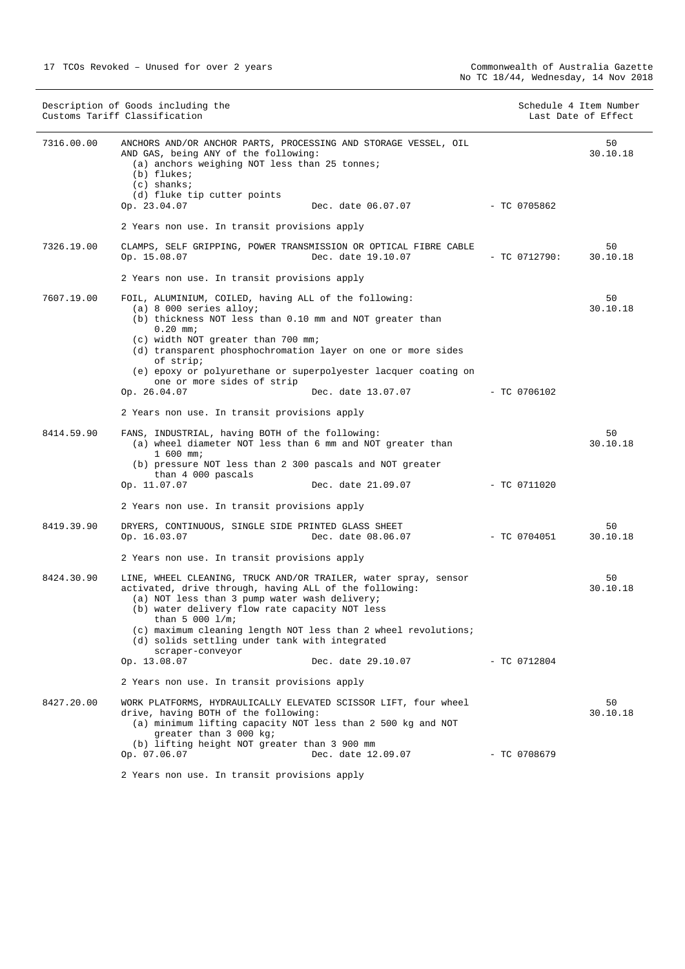| Description of Goods including the<br>Customs Tariff Classification |                                                                                                                                                                                                                                                                                                                                                                                            | Schedule 4 Item Number<br>Last Date of Effect |                |
|---------------------------------------------------------------------|--------------------------------------------------------------------------------------------------------------------------------------------------------------------------------------------------------------------------------------------------------------------------------------------------------------------------------------------------------------------------------------------|-----------------------------------------------|----------------|
| 7316.00.00                                                          | ANCHORS AND/OR ANCHOR PARTS, PROCESSING AND STORAGE VESSEL, OIL<br>AND GAS, being ANY of the following:<br>(a) anchors weighing NOT less than 25 tonnes;<br>(b) flukes;<br>$(c)$ shanks;<br>(d) fluke tip cutter points                                                                                                                                                                    |                                               | 50<br>30.10.18 |
|                                                                     | Op. 23.04.07<br>Dec. date 06.07.07                                                                                                                                                                                                                                                                                                                                                         | - TC 0705862                                  |                |
|                                                                     | 2 Years non use. In transit provisions apply                                                                                                                                                                                                                                                                                                                                               |                                               |                |
| 7326.19.00                                                          | CLAMPS, SELF GRIPPING, POWER TRANSMISSION OR OPTICAL FIBRE CABLE<br>Dec. date 19.10.07<br>Op. 15.08.07                                                                                                                                                                                                                                                                                     | $-$ TC 0712790:                               | 50<br>30.10.18 |
|                                                                     | 2 Years non use. In transit provisions apply                                                                                                                                                                                                                                                                                                                                               |                                               |                |
| 7607.19.00                                                          | FOIL, ALUMINIUM, COILED, having ALL of the following:<br>$(a)$ 8 000 series alloy;<br>(b) thickness NOT less than 0.10 mm and NOT greater than<br>$0.20$ mm;<br>(c) width NOT greater than 700 mm;<br>(d) transparent phosphochromation layer on one or more sides<br>of strip;<br>(e) epoxy or polyurethane or superpolyester lacquer coating on<br>one or more sides of strip            |                                               | 50<br>30.10.18 |
|                                                                     | Op. 26.04.07<br>Dec. date 13.07.07                                                                                                                                                                                                                                                                                                                                                         | $-$ TC 0706102                                |                |
|                                                                     | 2 Years non use. In transit provisions apply                                                                                                                                                                                                                                                                                                                                               |                                               |                |
| 8414.59.90                                                          | FANS, INDUSTRIAL, having BOTH of the following:<br>(a) wheel diameter NOT less than 6 mm and NOT greater than<br>$1,600$ mm;<br>(b) pressure NOT less than 2 300 pascals and NOT greater<br>than 4 000 pascals                                                                                                                                                                             |                                               | 50<br>30.10.18 |
|                                                                     | Op. 11.07.07<br>Dec. date 21.09.07                                                                                                                                                                                                                                                                                                                                                         | $-$ TC 0711020                                |                |
|                                                                     | 2 Years non use. In transit provisions apply                                                                                                                                                                                                                                                                                                                                               |                                               |                |
| 8419.39.90                                                          | DRYERS, CONTINUOUS, SINGLE SIDE PRINTED GLASS SHEET<br>Op. 16.03.07<br>Dec. date 08.06.07                                                                                                                                                                                                                                                                                                  | - TC 0704051                                  | 50<br>30.10.18 |
|                                                                     | 2 Years non use. In transit provisions apply                                                                                                                                                                                                                                                                                                                                               |                                               |                |
| 8424.30.90                                                          | LINE, WHEEL CLEANING, TRUCK AND/OR TRAILER, water spray, sensor<br>activated, drive through, having ALL of the following:<br>(a) NOT less than 3 pump water wash delivery;<br>(b) water delivery flow rate capacity NOT less<br>than 5 000 $1/m$ ;<br>(c) maximum cleaning length NOT less than 2 wheel revolutions;<br>(d) solids settling under tank with integrated<br>scraper-conveyor |                                               | 50<br>30.10.18 |
|                                                                     | Op. 13.08.07<br>Dec. date 29.10.07                                                                                                                                                                                                                                                                                                                                                         | - TC 0712804                                  |                |
|                                                                     | 2 Years non use. In transit provisions apply                                                                                                                                                                                                                                                                                                                                               |                                               |                |
| 8427.20.00                                                          | WORK PLATFORMS, HYDRAULICALLY ELEVATED SCISSOR LIFT, four wheel<br>drive, having BOTH of the following:<br>(a) minimum lifting capacity NOT less than 2 500 kg and NOT<br>greater than 3 000 kg;<br>(b) lifting height NOT greater than 3 900 mm                                                                                                                                           |                                               | 50<br>30.10.18 |
|                                                                     | Op. 07.06.07<br>Dec. date 12.09.07                                                                                                                                                                                                                                                                                                                                                         | $-$ TC 0708679                                |                |
|                                                                     | 2 Years non use. In transit provisions apply                                                                                                                                                                                                                                                                                                                                               |                                               |                |